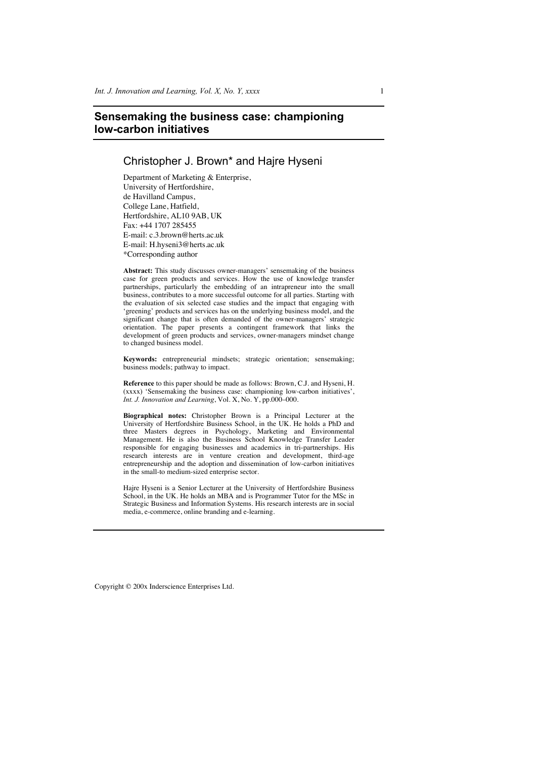# **Sensemaking the business case: championing low-carbon initiatives**

## Christopher J. Brown\* and Hajre Hyseni

Department of Marketing & Enterprise, University of Hertfordshire, de Havilland Campus, College Lane, Hatfield, Hertfordshire, AL10 9AB, UK Fax: +44 1707 285455 E-mail: c.3.brown@herts.ac.uk E-mail: H.hyseni3@herts.ac.uk \*Corresponding author

**Abstract:** This study discusses owner-managers' sensemaking of the business case for green products and services. How the use of knowledge transfer partnerships, particularly the embedding of an intrapreneur into the small business, contributes to a more successful outcome for all parties. Starting with the evaluation of six selected case studies and the impact that engaging with 'greening' products and services has on the underlying business model, and the significant change that is often demanded of the owner-managers' strategic orientation. The paper presents a contingent framework that links the development of green products and services, owner-managers mindset change to changed business model.

**Keywords:** entrepreneurial mindsets; strategic orientation; sensemaking; business models; pathway to impact.

**Reference** to this paper should be made as follows: Brown, C.J. and Hyseni, H. (xxxx) 'Sensemaking the business case: championing low-carbon initiatives', *Int. J. Innovation and Learning*, Vol. X, No. Y, pp.000–000.

**Biographical notes:** Christopher Brown is a Principal Lecturer at the University of Hertfordshire Business School, in the UK. He holds a PhD and three Masters degrees in Psychology, Marketing and Environmental Management. He is also the Business School Knowledge Transfer Leader responsible for engaging businesses and academics in tri-partnerships. His research interests are in venture creation and development, third-age entrepreneurship and the adoption and dissemination of low-carbon initiatives in the small-to medium-sized enterprise sector.

Hajre Hyseni is a Senior Lecturer at the University of Hertfordshire Business School, in the UK. He holds an MBA and is Programmer Tutor for the MSc in Strategic Business and Information Systems. His research interests are in social media, e-commerce, online branding and e-learning.

Copyright © 200x Inderscience Enterprises Ltd.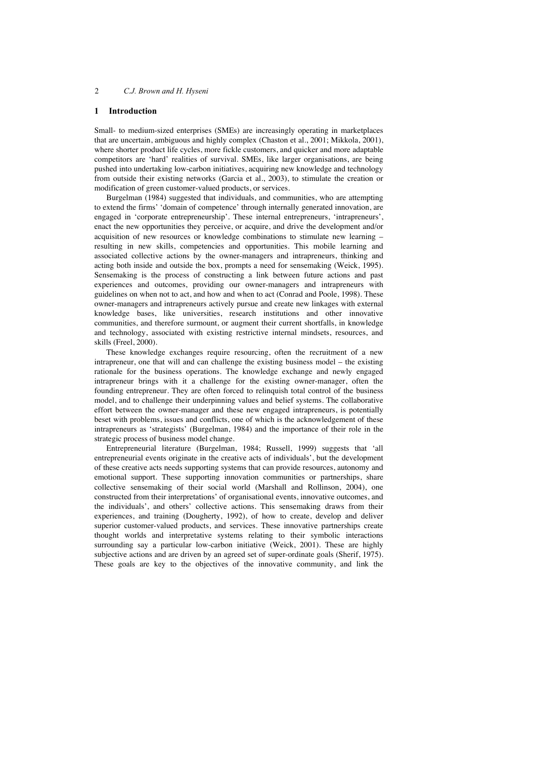## **1 Introduction**

Small- to medium-sized enterprises (SMEs) are increasingly operating in marketplaces that are uncertain, ambiguous and highly complex (Chaston et al., 2001; Mikkola, 2001), where shorter product life cycles, more fickle customers, and quicker and more adaptable competitors are 'hard' realities of survival. SMEs, like larger organisations, are being pushed into undertaking low-carbon initiatives, acquiring new knowledge and technology from outside their existing networks (Garcia et al., 2003), to stimulate the creation or modification of green customer-valued products, or services.

Burgelman (1984) suggested that individuals, and communities, who are attempting to extend the firms' 'domain of competence' through internally generated innovation, are engaged in 'corporate entrepreneurship'. These internal entrepreneurs, 'intrapreneurs', enact the new opportunities they perceive, or acquire, and drive the development and/or acquisition of new resources or knowledge combinations to stimulate new learning – resulting in new skills, competencies and opportunities. This mobile learning and associated collective actions by the owner-managers and intrapreneurs, thinking and acting both inside and outside the box, prompts a need for sensemaking (Weick, 1995). Sensemaking is the process of constructing a link between future actions and past experiences and outcomes, providing our owner-managers and intrapreneurs with guidelines on when not to act, and how and when to act (Conrad and Poole, 1998). These owner-managers and intrapreneurs actively pursue and create new linkages with external knowledge bases, like universities, research institutions and other innovative communities, and therefore surmount, or augment their current shortfalls, in knowledge and technology, associated with existing restrictive internal mindsets, resources, and skills (Freel, 2000).

These knowledge exchanges require resourcing, often the recruitment of a new intrapreneur, one that will and can challenge the existing business model – the existing rationale for the business operations. The knowledge exchange and newly engaged intrapreneur brings with it a challenge for the existing owner-manager, often the founding entrepreneur. They are often forced to relinquish total control of the business model, and to challenge their underpinning values and belief systems. The collaborative effort between the owner-manager and these new engaged intrapreneurs, is potentially beset with problems, issues and conflicts, one of which is the acknowledgement of these intrapreneurs as 'strategists' (Burgelman, 1984) and the importance of their role in the strategic process of business model change.

Entrepreneurial literature (Burgelman, 1984; Russell, 1999) suggests that 'all entrepreneurial events originate in the creative acts of individuals', but the development of these creative acts needs supporting systems that can provide resources, autonomy and emotional support. These supporting innovation communities or partnerships, share collective sensemaking of their social world (Marshall and Rollinson, 2004), one constructed from their interpretations' of organisational events, innovative outcomes, and the individuals', and others' collective actions. This sensemaking draws from their experiences, and training (Dougherty, 1992), of how to create, develop and deliver superior customer-valued products, and services. These innovative partnerships create thought worlds and interpretative systems relating to their symbolic interactions surrounding say a particular low-carbon initiative (Weick, 2001). These are highly subjective actions and are driven by an agreed set of super-ordinate goals (Sherif, 1975). These goals are key to the objectives of the innovative community, and link the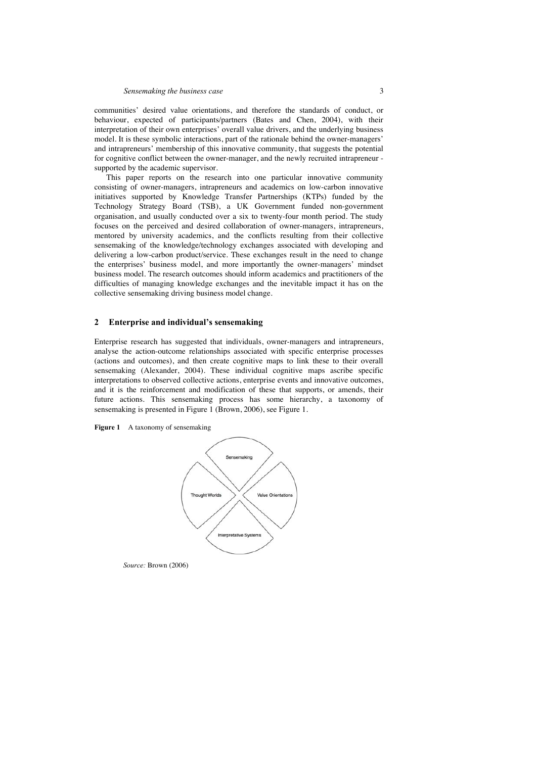communities' desired value orientations, and therefore the standards of conduct, or behaviour, expected of participants/partners (Bates and Chen, 2004), with their interpretation of their own enterprises' overall value drivers, and the underlying business model. It is these symbolic interactions, part of the rationale behind the owner-managers' and intrapreneurs' membership of this innovative community, that suggests the potential for cognitive conflict between the owner-manager, and the newly recruited intrapreneur supported by the academic supervisor.

This paper reports on the research into one particular innovative community consisting of owner-managers, intrapreneurs and academics on low-carbon innovative initiatives supported by Knowledge Transfer Partnerships (KTPs) funded by the Technology Strategy Board (TSB), a UK Government funded non-government organisation, and usually conducted over a six to twenty-four month period. The study focuses on the perceived and desired collaboration of owner-managers, intrapreneurs, mentored by university academics, and the conflicts resulting from their collective sensemaking of the knowledge/technology exchanges associated with developing and delivering a low-carbon product/service. These exchanges result in the need to change the enterprises' business model, and more importantly the owner-managers' mindset business model. The research outcomes should inform academics and practitioners of the difficulties of managing knowledge exchanges and the inevitable impact it has on the collective sensemaking driving business model change.

### **2 Enterprise and individual's sensemaking**

Enterprise research has suggested that individuals, owner-managers and intrapreneurs, analyse the action-outcome relationships associated with specific enterprise processes (actions and outcomes), and then create cognitive maps to link these to their overall sensemaking (Alexander, 2004). These individual cognitive maps ascribe specific interpretations to observed collective actions, enterprise events and innovative outcomes, and it is the reinforcement and modification of these that supports, or amends, their future actions. This sensemaking process has some hierarchy, a taxonomy of sensemaking is presented in Figure 1 (Brown, 2006), see Figure 1.

Figure 1 A taxonomy of sensemaking



*Source:* Brown (2006)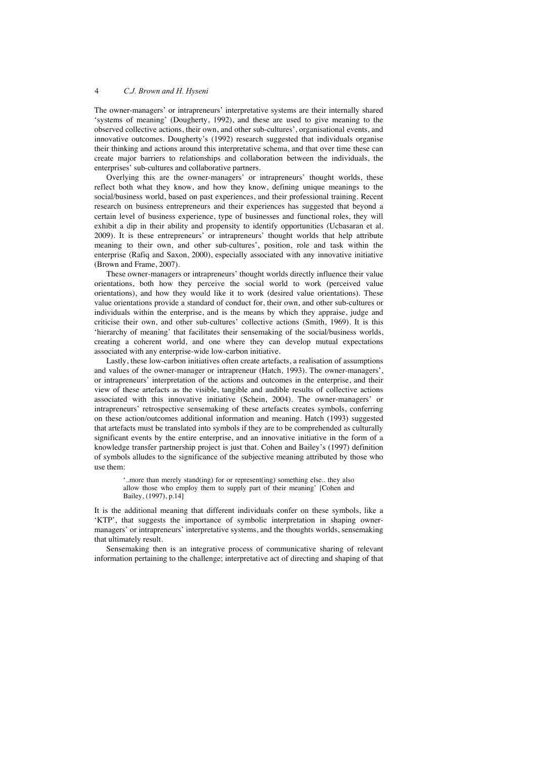The owner-managers' or intrapreneurs' interpretative systems are their internally shared 'systems of meaning' (Dougherty, 1992), and these are used to give meaning to the observed collective actions, their own, and other sub-cultures', organisational events, and innovative outcomes. Dougherty's (1992) research suggested that individuals organise their thinking and actions around this interpretative schema, and that over time these can create major barriers to relationships and collaboration between the individuals, the enterprises' sub-cultures and collaborative partners.

Overlying this are the owner-managers' or intrapreneurs' thought worlds, these reflect both what they know, and how they know, defining unique meanings to the social/business world, based on past experiences, and their professional training. Recent research on business entrepreneurs and their experiences has suggested that beyond a certain level of business experience, type of businesses and functional roles, they will exhibit a dip in their ability and propensity to identify opportunities (Ucbasaran et al. 2009). It is these entrepreneurs' or intrapreneurs' thought worlds that help attribute meaning to their own, and other sub-cultures', position, role and task within the enterprise (Rafiq and Saxon, 2000), especially associated with any innovative initiative (Brown and Frame, 2007).

These owner-managers or intrapreneurs' thought worlds directly influence their value orientations, both how they perceive the social world to work (perceived value orientations), and how they would like it to work (desired value orientations). These value orientations provide a standard of conduct for, their own, and other sub-cultures or individuals within the enterprise, and is the means by which they appraise, judge and criticise their own, and other sub-cultures' collective actions (Smith, 1969). It is this 'hierarchy of meaning' that facilitates their sensemaking of the social/business worlds, creating a coherent world, and one where they can develop mutual expectations associated with any enterprise-wide low-carbon initiative.

Lastly, these low-carbon initiatives often create artefacts, a realisation of assumptions and values of the owner-manager or intrapreneur (Hatch, 1993). The owner-managers', or intrapreneurs' interpretation of the actions and outcomes in the enterprise, and their view of these artefacts as the visible, tangible and audible results of collective actions associated with this innovative initiative (Schein, 2004). The owner-managers' or intrapreneurs' retrospective sensemaking of these artefacts creates symbols, conferring on these action/outcomes additional information and meaning. Hatch (1993) suggested that artefacts must be translated into symbols if they are to be comprehended as culturally significant events by the entire enterprise, and an innovative initiative in the form of a knowledge transfer partnership project is just that. Cohen and Bailey's (1997) definition of symbols alludes to the significance of the subjective meaning attributed by those who use them:

'..more than merely stand(ing) for or represent(ing) something else.. they also allow those who employ them to supply part of their meaning' [Cohen and Bailey, (1997), p.14]

It is the additional meaning that different individuals confer on these symbols, like a 'KTP', that suggests the importance of symbolic interpretation in shaping ownermanagers' or intrapreneurs' interpretative systems, and the thoughts worlds, sensemaking that ultimately result.

Sensemaking then is an integrative process of communicative sharing of relevant information pertaining to the challenge; interpretative act of directing and shaping of that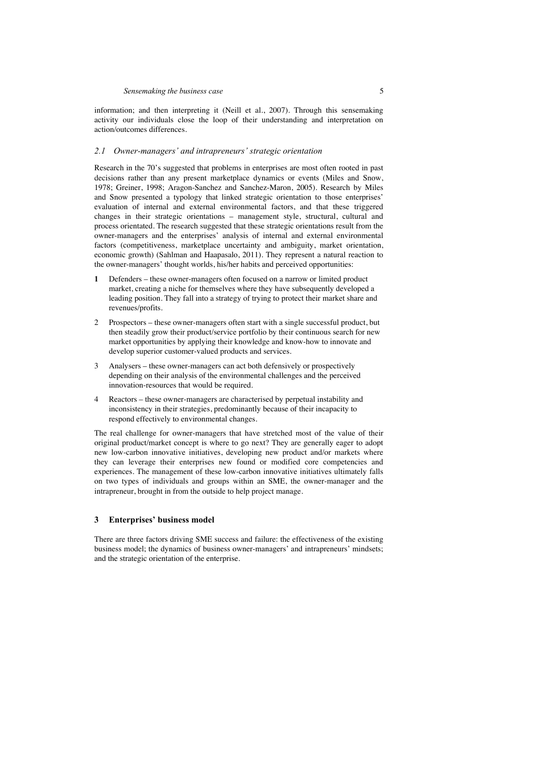information; and then interpreting it (Neill et al., 2007). Through this sensemaking activity our individuals close the loop of their understanding and interpretation on action/outcomes differences.

#### *2.1 Owner-managers' and intrapreneurs' strategic orientation*

Research in the 70's suggested that problems in enterprises are most often rooted in past decisions rather than any present marketplace dynamics or events (Miles and Snow, 1978; Greiner, 1998; Aragon-Sanchez and Sanchez-Maron, 2005). Research by Miles and Snow presented a typology that linked strategic orientation to those enterprises' evaluation of internal and external environmental factors, and that these triggered changes in their strategic orientations – management style, structural, cultural and process orientated. The research suggested that these strategic orientations result from the owner-managers and the enterprises' analysis of internal and external environmental factors (competitiveness, marketplace uncertainty and ambiguity, market orientation, economic growth) (Sahlman and Haapasalo, 2011). They represent a natural reaction to the owner-managers' thought worlds, his/her habits and perceived opportunities:

- **1** Defenders these owner-managers often focused on a narrow or limited product market, creating a niche for themselves where they have subsequently developed a leading position. They fall into a strategy of trying to protect their market share and revenues/profits.
- 2 Prospectors these owner-managers often start with a single successful product, but then steadily grow their product/service portfolio by their continuous search for new market opportunities by applying their knowledge and know-how to innovate and develop superior customer-valued products and services.
- 3 Analysers these owner-managers can act both defensively or prospectively depending on their analysis of the environmental challenges and the perceived innovation-resources that would be required.
- 4 Reactors these owner-managers are characterised by perpetual instability and inconsistency in their strategies, predominantly because of their incapacity to respond effectively to environmental changes.

The real challenge for owner-managers that have stretched most of the value of their original product/market concept is where to go next? They are generally eager to adopt new low-carbon innovative initiatives, developing new product and/or markets where they can leverage their enterprises new found or modified core competencies and experiences. The management of these low-carbon innovative initiatives ultimately falls on two types of individuals and groups within an SME, the owner-manager and the intrapreneur, brought in from the outside to help project manage.

### **3 Enterprises' business model**

There are three factors driving SME success and failure: the effectiveness of the existing business model; the dynamics of business owner-managers' and intrapreneurs' mindsets; and the strategic orientation of the enterprise.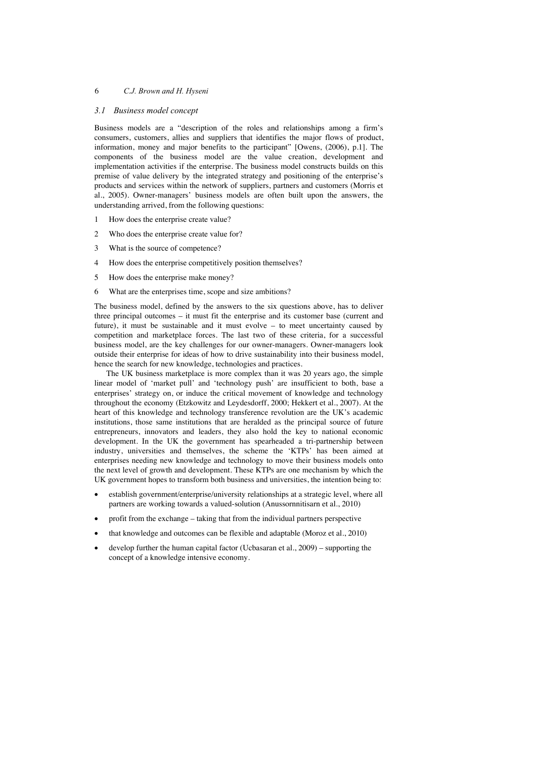#### *3.1 Business model concept*

Business models are a "description of the roles and relationships among a firm's consumers, customers, allies and suppliers that identifies the major flows of product, information, money and major benefits to the participant" [Owens, (2006), p.1]. The components of the business model are the value creation, development and implementation activities if the enterprise. The business model constructs builds on this premise of value delivery by the integrated strategy and positioning of the enterprise's products and services within the network of suppliers, partners and customers (Morris et al., 2005). Owner-managers' business models are often built upon the answers, the understanding arrived, from the following questions:

- 1 How does the enterprise create value?
- 2 Who does the enterprise create value for?
- 3 What is the source of competence?
- 4 How does the enterprise competitively position themselves?
- 5 How does the enterprise make money?
- 6 What are the enterprises time, scope and size ambitions?

The business model, defined by the answers to the six questions above, has to deliver three principal outcomes – it must fit the enterprise and its customer base (current and future), it must be sustainable and it must evolve – to meet uncertainty caused by competition and marketplace forces. The last two of these criteria, for a successful business model, are the key challenges for our owner-managers. Owner-managers look outside their enterprise for ideas of how to drive sustainability into their business model, hence the search for new knowledge, technologies and practices.

The UK business marketplace is more complex than it was 20 years ago, the simple linear model of 'market pull' and 'technology push' are insufficient to both, base a enterprises' strategy on, or induce the critical movement of knowledge and technology throughout the economy (Etzkowitz and Leydesdorff, 2000; Hekkert et al., 2007). At the heart of this knowledge and technology transference revolution are the UK's academic institutions, those same institutions that are heralded as the principal source of future entrepreneurs, innovators and leaders, they also hold the key to national economic development. In the UK the government has spearheaded a tri-partnership between industry, universities and themselves, the scheme the 'KTPs' has been aimed at enterprises needing new knowledge and technology to move their business models onto the next level of growth and development. These KTPs are one mechanism by which the UK government hopes to transform both business and universities, the intention being to:

- establish government/enterprise/university relationships at a strategic level, where all partners are working towards a valued-solution (Anussornnitisarn et al., 2010)
- x profit from the exchange taking that from the individual partners perspective
- that knowledge and outcomes can be flexible and adaptable (Moroz et al., 2010)
- develop further the human capital factor (Ucbasaran et al.,  $2009$ ) supporting the concept of a knowledge intensive economy.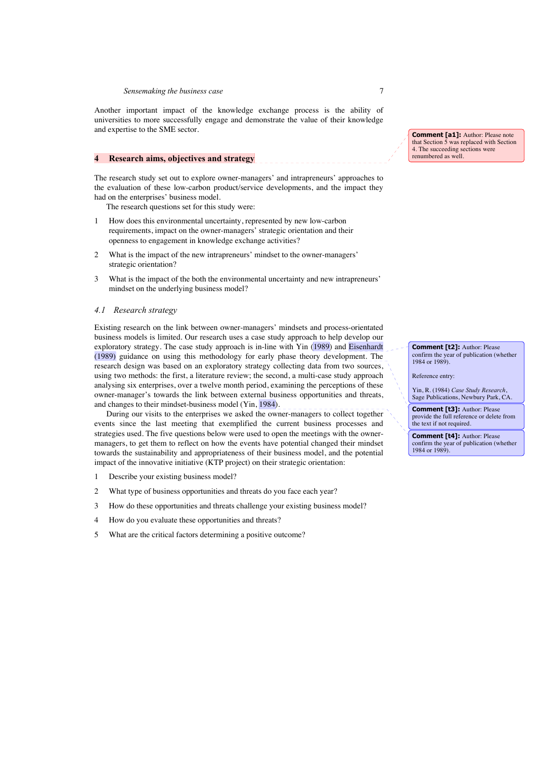#### *Sensemaking the business case* 7

Another important impact of the knowledge exchange process is the ability of universities to more successfully engage and demonstrate the value of their knowledge and expertise to the SME sector.

### **4 Research aims, objectives and strategy**

The research study set out to explore owner-managers' and intrapreneurs' approaches to the evaluation of these low-carbon product/service developments, and the impact they had on the enterprises' business model.

The research questions set for this study were:

- 1 How does this environmental uncertainty, represented by new low-carbon requirements, impact on the owner-managers' strategic orientation and their openness to engagement in knowledge exchange activities?
- 2 What is the impact of the new intrapreneurs' mindset to the owner-managers' strategic orientation?
- 3 What is the impact of the both the environmental uncertainty and new intrapreneurs' mindset on the underlying business model?

### *4.1 Research strategy*

Existing research on the link between owner-managers' mindsets and process-orientated business models is limited. Our research uses a case study approach to help develop our exploratory strategy. The case study approach is in-line with Yin (1989) and Eisenhardt (1989) guidance on using this methodology for early phase theory development. The research design was based on an exploratory strategy collecting data from two sources, using two methods: the first, a literature review; the second, a multi-case study approach analysing six enterprises, over a twelve month period, examining the perceptions of these owner-manager's towards the link between external business opportunities and threats, and changes to their mindset-business model (Yin,  $\boxed{1984}$ ).

During our visits to the enterprises we asked the owner-managers to collect together events since the last meeting that exemplified the current business processes and strategies used. The five questions below were used to open the meetings with the ownermanagers, to get them to reflect on how the events have potential changed their mindset towards the sustainability and appropriateness of their business model, and the potential impact of the innovative initiative (KTP project) on their strategic orientation:

- 1 Describe your existing business model?
- 2 What type of business opportunities and threats do you face each year?
- 3 How do these opportunities and threats challenge your existing business model?
- 4 How do you evaluate these opportunities and threats?
- 5 What are the critical factors determining a positive outcome?

**Comment [a1]:** Author: Please note that Section 5 was replaced with Section 4. The succeeding sections were renumbered as well.

**Comment [t2]:** Author: Please confirm the year of publication (whether 1984 or 1989).

Reference entry:

Yin, R. (1984) *Case Study Research*, Sage Publications, Newbury Park, CA.

**Comment [t3]:** Author: Please provide the full reference or delete from the text if not required.

**Comment [t4]:** Author: Please confirm the year of publication (whether 1984 or 1989).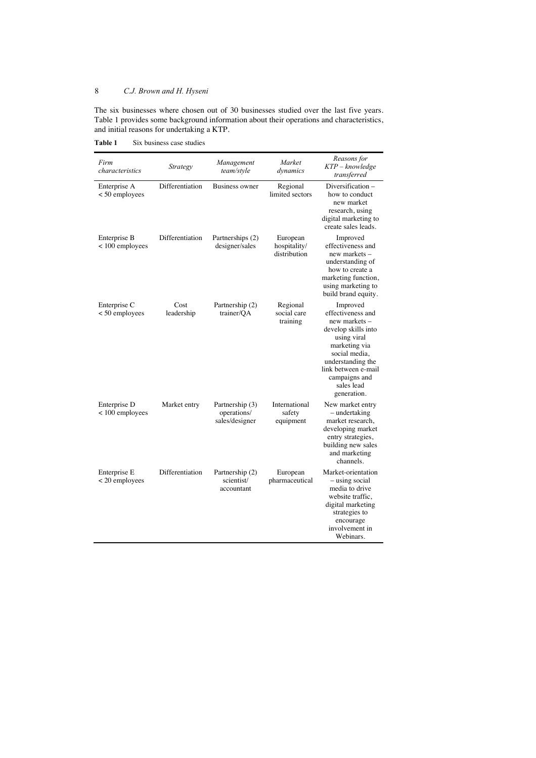The six businesses where chosen out of 30 businesses studied over the last five years. Table 1 provides some background information about their operations and characteristics, and initial reasons for undertaking a KTP.

Table 1 Six business case studies

| Firm<br>characteristics           | Strategy           | Management<br>team/style                         | Market<br>dynamics                       | Reasons for<br>KTP – knowledge<br>transferred                                                                                                                                                                    |
|-----------------------------------|--------------------|--------------------------------------------------|------------------------------------------|------------------------------------------------------------------------------------------------------------------------------------------------------------------------------------------------------------------|
| Enterprise A<br>$< 50$ employees  | Differentiation    | <b>Business owner</b>                            | Regional<br>limited sectors              | Diversification-<br>how to conduct<br>new market<br>research, using<br>digital marketing to<br>create sales leads.                                                                                               |
| Enterprise B<br>$< 100$ employees | Differentiation    | Partnerships (2)<br>designer/sales               | European<br>hospitality/<br>distribution | Improved<br>effectiveness and<br>new markets -<br>understanding of<br>how to create a<br>marketing function,<br>using marketing to<br>build brand equity.                                                        |
| Enterprise C<br>$< 50$ employees  | Cost<br>leadership | Partnership (2)<br>trainer/OA                    | Regional<br>social care<br>training      | Improved<br>effectiveness and<br>new markets -<br>develop skills into<br>using viral<br>marketing via<br>social media,<br>understanding the<br>link between e-mail<br>campaigns and<br>sales lead<br>generation. |
| Enterprise D<br>$< 100$ employees | Market entry       | Partnership (3)<br>operations/<br>sales/designer | International<br>safety<br>equipment     | New market entry<br>- undertaking<br>market research,<br>developing market<br>entry strategies,<br>building new sales<br>and marketing<br>channels.                                                              |
| Enterprise E<br>$<$ 20 employees  | Differentiation    | Partnership (2)<br>scientist/<br>accountant      | European<br>pharmaceutical               | Market-orientation<br>- using social<br>media to drive<br>website traffic,<br>digital marketing<br>strategies to<br>encourage<br>involvement in<br>Webinars.                                                     |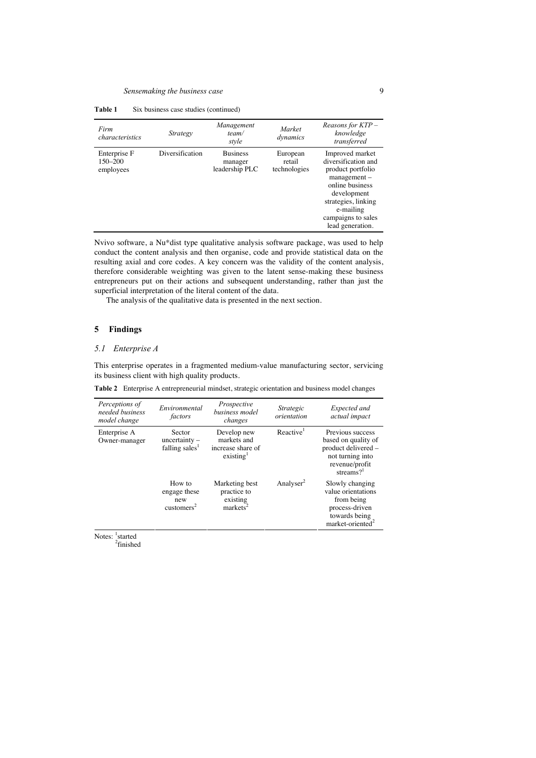| Table 1 | Six business case studies (continued) |  |  |
|---------|---------------------------------------|--|--|
|---------|---------------------------------------|--|--|

| Firm<br>characteristics              | Strategy        | Management<br>team/<br>style                 | Market<br>dynamics                 | Reasons for KTP -<br>knowledge<br>transferred                                                                                                                                                 |
|--------------------------------------|-----------------|----------------------------------------------|------------------------------------|-----------------------------------------------------------------------------------------------------------------------------------------------------------------------------------------------|
| Enterprise F<br>150-200<br>employees | Diversification | <b>Business</b><br>manager<br>leadership PLC | European<br>retail<br>technologies | Improved market<br>diversification and<br>product portfolio<br>$management -$<br>online business<br>development<br>strategies, linking<br>e-mailing<br>campaigns to sales<br>lead generation. |

Nvivo software, a Nu\*dist type qualitative analysis software package, was used to help conduct the content analysis and then organise, code and provide statistical data on the resulting axial and core codes. A key concern was the validity of the content analysis, therefore considerable weighting was given to the latent sense-making these business entrepreneurs put on their actions and subsequent understanding, rather than just the superficial interpretation of the literal content of the data.

The analysis of the qualitative data is presented in the next section.

## **5 Findings**

## *5.1 Enterprise A*

This enterprise operates in a fragmented medium-value manufacturing sector, servicing its business client with high quality products.

**Table 2** Enterprise A entrepreneurial mindset, strategic orientation and business model changes

| Perceptions of<br>needed business<br>model change | Environmental<br>factors                                | Prospective<br>business model<br>changes                                 | Strategic<br>orientation | Expected and<br>actual impact                                                                                          |
|---------------------------------------------------|---------------------------------------------------------|--------------------------------------------------------------------------|--------------------------|------------------------------------------------------------------------------------------------------------------------|
| Enterprise A<br>Owner-manager                     | Sector<br>$uncertainty -$<br>falling sales <sup>1</sup> | Develop new<br>markets and<br>increase share of<br>existing <sup>1</sup> | Reactive <sup>1</sup>    | Previous success<br>based on quality of<br>product delivered -<br>not turning into<br>revenue/profit<br>streams? $1$   |
|                                                   | How to<br>engage these<br>new<br>$\text{customers}^2$   | Marketing best<br>practice to<br>existing<br>marks <sup>2</sup>          | Analyser <sup>2</sup>    | Slowly changing<br>value orientations<br>from being<br>process-driven<br>towards being<br>market-oriented <sup>2</sup> |

Notes: <sup>1</sup>started<br><sup>2</sup>finished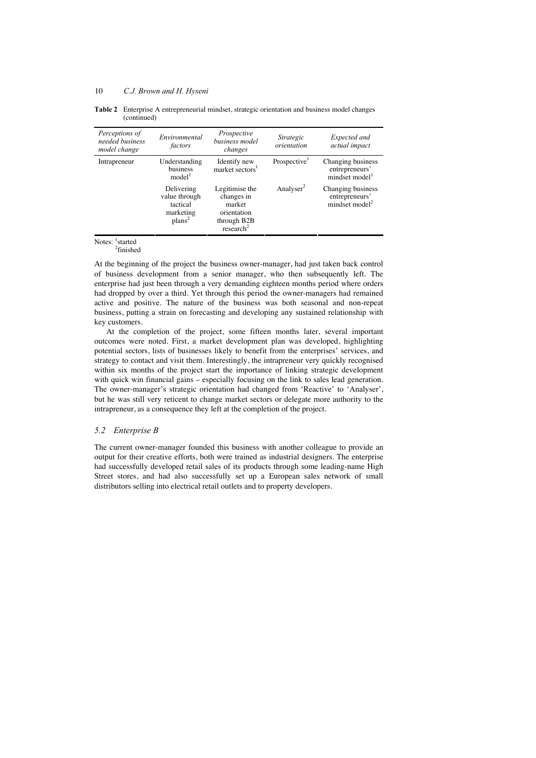| Table 2 Enterprise A entrepreneurial mindset, strategic orientation and business model changes |
|------------------------------------------------------------------------------------------------|
| (continued)                                                                                    |

| Perceptions of<br>needed business<br>model change | Environmental<br>factors                                                   | Prospective<br>business model<br>changes                                                      | Strategic<br>orientation | Expected and<br>actual impact                                     |
|---------------------------------------------------|----------------------------------------------------------------------------|-----------------------------------------------------------------------------------------------|--------------------------|-------------------------------------------------------------------|
| Intrapreneur                                      | Understanding<br>business<br>model <sup>1</sup>                            | Identify new<br>market sectors <sup>1</sup>                                                   | Prospective <sup>1</sup> | Changing business<br>entrepreneurs'<br>mindset model <sup>1</sup> |
|                                                   | Delivering<br>value through<br>tactical<br>marketing<br>plans <sup>2</sup> | Legitimise the<br>changes in<br>market<br>orientation<br>through B2B<br>research <sup>2</sup> | Analyser <sup>2</sup>    | Changing business<br>entrepreneurs'<br>mindset model <sup>2</sup> |

Notes: <sup>1</sup>started

2 finished

At the beginning of the project the business owner-manager, had just taken back control of business development from a senior manager, who then subsequently left. The enterprise had just been through a very demanding eighteen months period where orders had dropped by over a third. Yet through this period the owner-managers had remained active and positive. The nature of the business was both seasonal and non-repeat business, putting a strain on forecasting and developing any sustained relationship with key customers.

At the completion of the project, some fifteen months later, several important outcomes were noted. First, a market development plan was developed, highlighting potential sectors, lists of businesses likely to benefit from the enterprises' services, and strategy to contact and visit them. Interestingly, the intrapreneur very quickly recognised within six months of the project start the importance of linking strategic development with quick win financial gains – especially focusing on the link to sales lead generation. The owner-manager's strategic orientation had changed from 'Reactive' to 'Analyser', but he was still very reticent to change market sectors or delegate more authority to the intrapreneur, as a consequence they left at the completion of the project.

## *5.2 Enterprise B*

The current owner-manager founded this business with another colleague to provide an output for their creative efforts, both were trained as industrial designers. The enterprise had successfully developed retail sales of its products through some leading-name High Street stores, and had also successfully set up a European sales network of small distributors selling into electrical retail outlets and to property developers.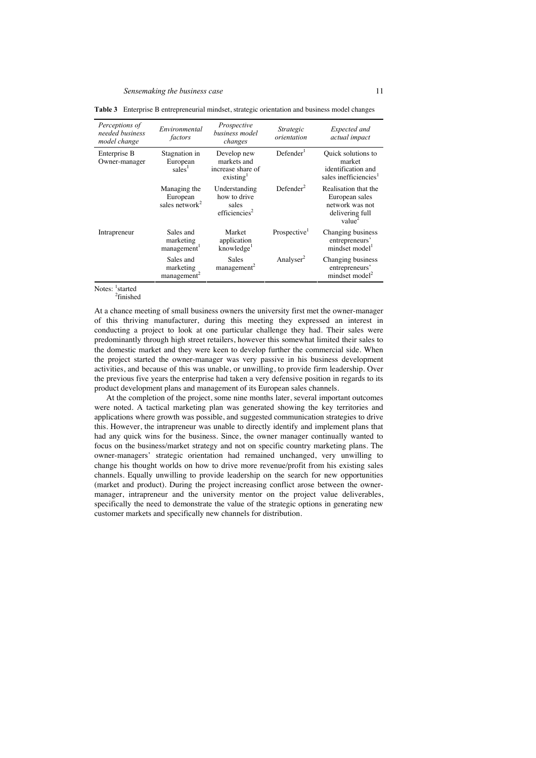| Perceptions of<br>needed business<br>model change | Environmental<br>factors                          | Prospective<br>business model<br>changes                                 | Strategic<br>orientation | Expected and<br>actual impact                                                                      |
|---------------------------------------------------|---------------------------------------------------|--------------------------------------------------------------------------|--------------------------|----------------------------------------------------------------------------------------------------|
| Enterprise B<br>Owner-manager                     | Stagnation in<br>European<br>sales <sup>1</sup>   | Develop new<br>markets and<br>increase share of<br>existing <sup>1</sup> | Defender <sup>1</sup>    | Quick solutions to<br>market<br>identification and<br>sales inefficiencies <sup>1</sup>            |
|                                                   | Managing the<br>European<br>sales network $2$     | Understanding<br>how to drive<br>sales<br>efficiencies <sup>2</sup>      | Defender <sup>2</sup>    | Realisation that the<br>European sales<br>network was not<br>delivering full<br>value <sup>2</sup> |
| Intrapreneur                                      | Sales and<br>marketing<br>management <sup>1</sup> | Market<br>application<br>knowledge <sup>1</sup>                          | Prospective <sup>1</sup> | Changing business<br>entrepreneurs'<br>mindset model <sup>1</sup>                                  |
|                                                   | Sales and<br>marketing<br>management <sup>2</sup> | Sales<br>$m$ anagement <sup>2</sup>                                      | Analyser <sup>2</sup>    | Changing business<br>entrepreneurs'<br>mindset model <sup>2</sup>                                  |

**Table 3** Enterprise B entrepreneurial mindset, strategic orientation and business model changes

Notes: <sup>1</sup>started<br><sup>2</sup>finished

At a chance meeting of small business owners the university first met the owner-manager of this thriving manufacturer, during this meeting they expressed an interest in conducting a project to look at one particular challenge they had. Their sales were predominantly through high street retailers, however this somewhat limited their sales to the domestic market and they were keen to develop further the commercial side. When the project started the owner-manager was very passive in his business development activities, and because of this was unable, or unwilling, to provide firm leadership. Over the previous five years the enterprise had taken a very defensive position in regards to its product development plans and management of its European sales channels.

At the completion of the project, some nine months later, several important outcomes were noted. A tactical marketing plan was generated showing the key territories and applications where growth was possible, and suggested communication strategies to drive this. However, the intrapreneur was unable to directly identify and implement plans that had any quick wins for the business. Since, the owner manager continually wanted to focus on the business/market strategy and not on specific country marketing plans. The owner-managers' strategic orientation had remained unchanged, very unwilling to change his thought worlds on how to drive more revenue/profit from his existing sales channels. Equally unwilling to provide leadership on the search for new opportunities (market and product). During the project increasing conflict arose between the ownermanager, intrapreneur and the university mentor on the project value deliverables, specifically the need to demonstrate the value of the strategic options in generating new customer markets and specifically new channels for distribution.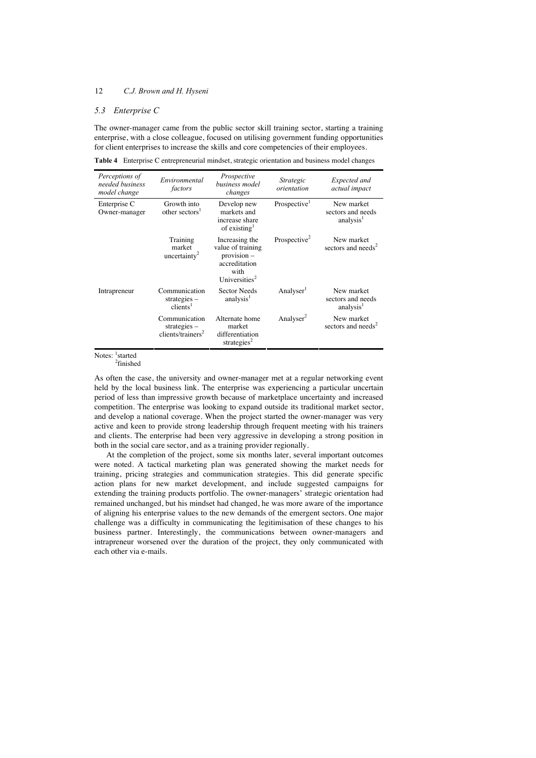#### *5.3 Enterprise C*

The owner-manager came from the public sector skill training sector, starting a training enterprise, with a close colleague, focused on utilising government funding opportunities for client enterprises to increase the skills and core competencies of their employees.

**Table 4** Enterprise C entrepreneurial mindset, strategic orientation and business model changes

| Perceptions of<br>needed business<br>model change | Environmental<br>factors                                         | Prospective<br>business model<br>changes                                                                   | Strategic<br>orientation | Expected and<br>actual impact                            |
|---------------------------------------------------|------------------------------------------------------------------|------------------------------------------------------------------------------------------------------------|--------------------------|----------------------------------------------------------|
| Enterprise C<br>Owner-manager                     | Growth into<br>other sectors <sup>1</sup>                        | Develop new<br>markets and<br>increase share<br>of existing $1$                                            | Prospective <sup>1</sup> | New market<br>sectors and needs<br>analysis <sup>1</sup> |
|                                                   | Training<br>market<br>uncertainty <sup>2</sup>                   | Increasing the<br>value of training<br>$provision -$<br>accreditation<br>with<br>Universities <sup>2</sup> | Prospective <sup>2</sup> | New market<br>sectors and needs <sup>2</sup>             |
| Intrapreneur                                      | Communication<br>$strategies -$<br>$clients$ <sup>1</sup>        | <b>Sector Needs</b><br>analysis <sup>1</sup>                                                               | Analyser <sup>1</sup>    | New market<br>sectors and needs<br>analysis <sup>1</sup> |
|                                                   | Communication<br>strategies $-$<br>clients/trainers <sup>2</sup> | Alternate home<br>market<br>differentiation<br>strategies <sup>2</sup>                                     | Analyser <sup>2</sup>    | New market<br>sectors and needs <sup>2</sup>             |

Notes: <sup>1</sup>started 2 finished

As often the case, the university and owner-manager met at a regular networking event held by the local business link. The enterprise was experiencing a particular uncertain period of less than impressive growth because of marketplace uncertainty and increased competition. The enterprise was looking to expand outside its traditional market sector, and develop a national coverage. When the project started the owner-manager was very active and keen to provide strong leadership through frequent meeting with his trainers and clients. The enterprise had been very aggressive in developing a strong position in both in the social care sector, and as a training provider regionally.

At the completion of the project, some six months later, several important outcomes were noted. A tactical marketing plan was generated showing the market needs for training, pricing strategies and communication strategies. This did generate specific action plans for new market development, and include suggested campaigns for extending the training products portfolio. The owner-managers' strategic orientation had remained unchanged, but his mindset had changed, he was more aware of the importance of aligning his enterprise values to the new demands of the emergent sectors. One major challenge was a difficulty in communicating the legitimisation of these changes to his business partner. Interestingly, the communications between owner-managers and intrapreneur worsened over the duration of the project, they only communicated with each other via e-mails.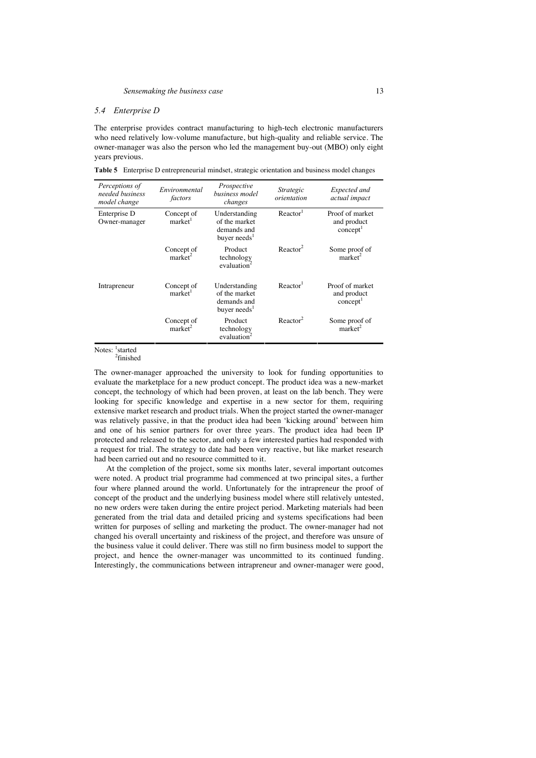#### *5.4 Enterprise D*

The enterprise provides contract manufacturing to high-tech electronic manufacturers who need relatively low-volume manufacture, but high-quality and reliable service. The owner-manager was also the person who led the management buy-out (MBO) only eight years previous.

**Table 5** Enterprise D entrepreneurial mindset, strategic orientation and business model changes

| Perceptions of<br>needed business<br>model change | Environmental<br>factors          | Prospective<br>business model<br>changes                                  | Strategic<br>orientation | Expected and<br>actual impact                          |
|---------------------------------------------------|-----------------------------------|---------------------------------------------------------------------------|--------------------------|--------------------------------------------------------|
| Enterprise D<br>Owner-manager                     | Concept of<br>market <sup>1</sup> | Understanding<br>of the market<br>demands and<br>buyer needs <sup>1</sup> | Reactor <sup>1</sup>     | Proof of market<br>and product<br>concept <sup>1</sup> |
|                                                   | Concept of<br>market <sup>2</sup> | Product<br>technology<br>evaluation                                       | Reactor <sup>2</sup>     | Some proof of<br>market <sup>2</sup>                   |
| Intrapreneur                                      | Concept of<br>market <sup>1</sup> | Understanding<br>of the market<br>demands and<br>buyer needs <sup>1</sup> | Reactor <sup>1</sup>     | Proof of market<br>and product<br>concept <sup>1</sup> |
|                                                   | Concept of<br>market <sup>2</sup> | Product<br>technology<br>evaluation                                       | Reactor <sup>2</sup>     | Some proof of<br>market <sup>2</sup>                   |

Notes: <sup>1</sup>started 2 finished

The owner-manager approached the university to look for funding opportunities to evaluate the marketplace for a new product concept. The product idea was a new-market concept, the technology of which had been proven, at least on the lab bench. They were looking for specific knowledge and expertise in a new sector for them, requiring extensive market research and product trials. When the project started the owner-manager was relatively passive, in that the product idea had been 'kicking around' between him and one of his senior partners for over three years. The product idea had been IP protected and released to the sector, and only a few interested parties had responded with a request for trial. The strategy to date had been very reactive, but like market research had been carried out and no resource committed to it.

At the completion of the project, some six months later, several important outcomes were noted. A product trial programme had commenced at two principal sites, a further four where planned around the world. Unfortunately for the intrapreneur the proof of concept of the product and the underlying business model where still relatively untested, no new orders were taken during the entire project period. Marketing materials had been generated from the trial data and detailed pricing and systems specifications had been written for purposes of selling and marketing the product. The owner-manager had not changed his overall uncertainty and riskiness of the project, and therefore was unsure of the business value it could deliver. There was still no firm business model to support the project, and hence the owner-manager was uncommitted to its continued funding. Interestingly, the communications between intrapreneur and owner-manager were good,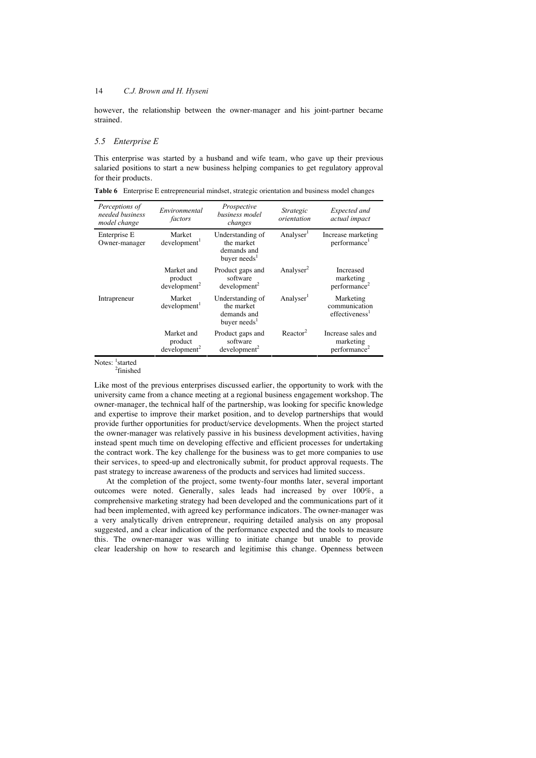however, the relationship between the owner-manager and his joint-partner became strained.

#### *5.5 Enterprise E*

This enterprise was started by a husband and wife team, who gave up their previous salaried positions to start a new business helping companies to get regulatory approval for their products.

| Perceptions of<br>needed business<br>model change | Environmental<br>factors                             | Prospective<br>business model<br>changes                                  | Strategic<br>orientation | Expected and<br>actual impact                               |
|---------------------------------------------------|------------------------------------------------------|---------------------------------------------------------------------------|--------------------------|-------------------------------------------------------------|
| Enterprise E<br>Owner-manager                     | Market<br>development <sup>1</sup>                   | Understanding of<br>the market<br>demands and<br>buyer needs <sup>1</sup> | Analyser <sup>1</sup>    | Increase marketing<br>performance <sup>1</sup>              |
|                                                   | Market and<br>product<br>development <sup>2</sup>    | Product gaps and<br>software<br>development <sup>2</sup>                  | Analyser <sup>2</sup>    | Increased<br>marketing<br>performance <sup>2</sup>          |
| Intrapreneur                                      | Market<br>development <sup>1</sup>                   | Understanding of<br>the market<br>demands and<br>buyer needs <sup>1</sup> | Analyser <sup>1</sup>    | Marketing<br>communication<br>effectiveness <sup>1</sup>    |
|                                                   | Market and<br>product<br>$d$ evelopment <sup>2</sup> | Product gaps and<br>software<br>$d$ evelopment <sup>2</sup>               | Reactor <sup>2</sup>     | Increase sales and<br>marketing<br>performance <sup>2</sup> |

**Table 6** Enterprise E entrepreneurial mindset, strategic orientation and business model changes

Notes: <sup>1</sup>started<br><sup>2</sup>finished

Like most of the previous enterprises discussed earlier, the opportunity to work with the university came from a chance meeting at a regional business engagement workshop. The owner-manager, the technical half of the partnership, was looking for specific knowledge and expertise to improve their market position, and to develop partnerships that would provide further opportunities for product/service developments. When the project started the owner-manager was relatively passive in his business development activities, having instead spent much time on developing effective and efficient processes for undertaking the contract work. The key challenge for the business was to get more companies to use their services, to speed-up and electronically submit, for product approval requests. The past strategy to increase awareness of the products and services had limited success.

At the completion of the project, some twenty-four months later, several important outcomes were noted. Generally, sales leads had increased by over 100%, a comprehensive marketing strategy had been developed and the communications part of it had been implemented, with agreed key performance indicators. The owner-manager was a very analytically driven entrepreneur, requiring detailed analysis on any proposal suggested, and a clear indication of the performance expected and the tools to measure this. The owner-manager was willing to initiate change but unable to provide clear leadership on how to research and legitimise this change. Openness between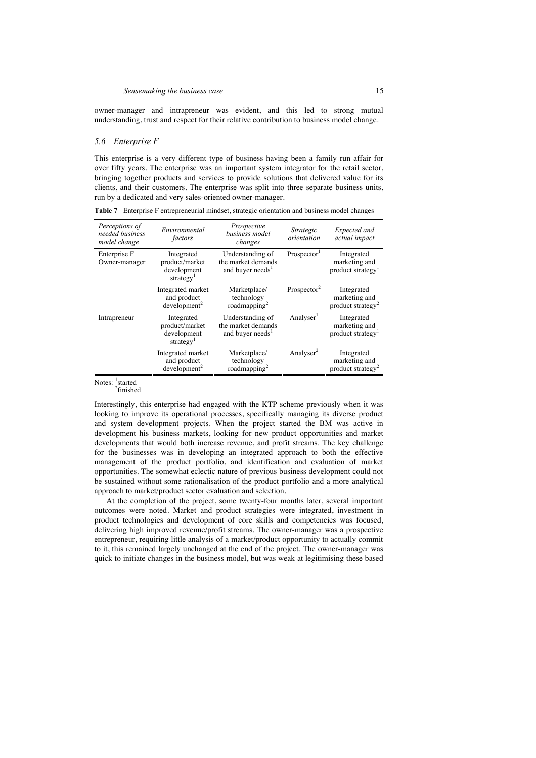owner-manager and intrapreneur was evident, and this led to strong mutual understanding, trust and respect for their relative contribution to business model change.

#### *5.6 Enterprise F*

This enterprise is a very different type of business having been a family run affair for over fifty years. The enterprise was an important system integrator for the retail sector, bringing together products and services to provide solutions that delivered value for its clients, and their customers. The enterprise was split into three separate business units, run by a dedicated and very sales-oriented owner-manager.

| Perceptions of<br>needed business<br>model change | Environmental<br>factors                                             | Prospective<br>business model<br>changes                               | Strategic<br>orientation | Expected and<br>actual impact                                |
|---------------------------------------------------|----------------------------------------------------------------------|------------------------------------------------------------------------|--------------------------|--------------------------------------------------------------|
| Enterprise F<br>Owner-manager                     | Integrated<br>product/market<br>development<br>strategy <sup>1</sup> | Understanding of<br>the market demands<br>and buyer needs <sup>1</sup> | Prospector <sup>1</sup>  | Integrated<br>marketing and<br>product strategy <sup>1</sup> |
|                                                   | Integrated market<br>and product<br>development <sup>2</sup>         | Marketplace/<br>technology<br>roadmapping <sup>2</sup>                 | Prospector <sup>2</sup>  | Integrated<br>marketing and<br>product strategy <sup>2</sup> |
| Intrapreneur                                      | Integrated<br>product/market<br>development<br>strategy <sup>1</sup> | Understanding of<br>the market demands<br>and buyer needs <sup>1</sup> | Analyser <sup>1</sup>    | Integrated<br>marketing and<br>product strategy <sup>1</sup> |
|                                                   | Integrated market<br>and product<br>development <sup>2</sup>         | Marketplace/<br>technology<br>roadmapping <sup>2</sup>                 | Analyser <sup>2</sup>    | Integrated<br>marketing and<br>product strategy <sup>2</sup> |

**Table 7** Enterprise F entrepreneurial mindset, strategic orientation and business model changes

Notes: <sup>1</sup>started 2 finished

Interestingly, this enterprise had engaged with the KTP scheme previously when it was looking to improve its operational processes, specifically managing its diverse product and system development projects. When the project started the BM was active in development his business markets, looking for new product opportunities and market developments that would both increase revenue, and profit streams. The key challenge for the businesses was in developing an integrated approach to both the effective management of the product portfolio, and identification and evaluation of market opportunities. The somewhat eclectic nature of previous business development could not be sustained without some rationalisation of the product portfolio and a more analytical approach to market/product sector evaluation and selection.

At the completion of the project, some twenty-four months later, several important outcomes were noted. Market and product strategies were integrated, investment in product technologies and development of core skills and competencies was focused, delivering high improved revenue/profit streams. The owner-manager was a prospective entrepreneur, requiring little analysis of a market/product opportunity to actually commit to it, this remained largely unchanged at the end of the project. The owner-manager was quick to initiate changes in the business model, but was weak at legitimising these based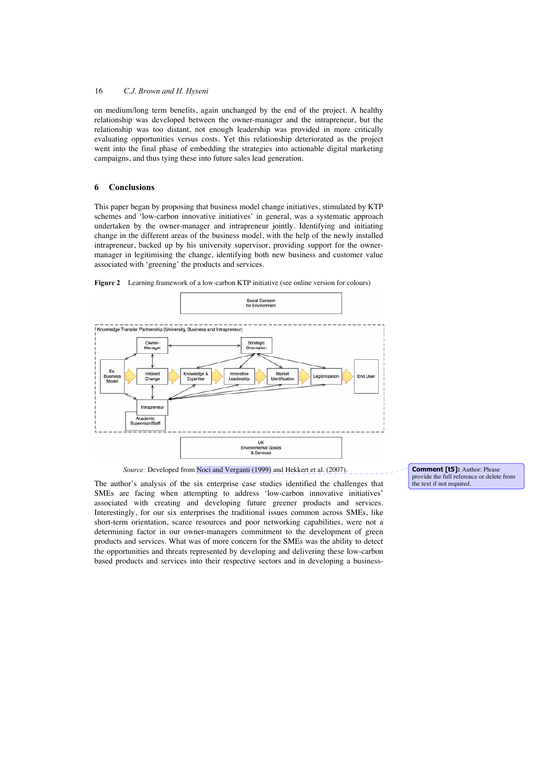on medium/long term benefits, again unchanged by the end of the project. A healthy relationship was developed between the owner-manager and the intrapreneur, but the relationship was too distant, not enough leadership was provided in more critically evaluating opportunities versus costs. Yet this relationship deteriorated as the project went into the final phase of embedding the strategies into actionable digital marketing campaigns, and thus tying these into future sales lead generation.

## **6 Conclusions**

This paper began by proposing that business model change initiatives, stimulated by KTP schemes and 'low-carbon innovative initiatives' in general, was a systematic approach undertaken by the owner-manager and intrapreneur jointly. Identifying and initiating change in the different areas of the business model, with the help of the newly installed intrapreneur, backed up by his university supervisor, providing support for the ownermanager in legitimising the change, identifying both new business and customer value associated with 'greening' the products and services.



Figure 2 Learning framework of a low-carbon KTP initiative (see online version for colours)

*Source:* Developed from **Noci and Verganti** (1999) and Hekkert et al. (2007).

The author's analysis of the six enterprise case studies identified the challenges that SMEs are facing when attempting to address 'low-carbon innovative initiatives' associated with creating and developing future greener products and services. Interestingly, for our six enterprises the traditional issues common across SMEs, like short-term orientation, scarce resources and poor networking capabilities, were not a determining factor in our owner-managers commitment to the development of green products and services. What was of more concern for the SMEs was the ability to detect the opportunities and threats represented by developing and delivering these low-carbon based products and services into their respective sectors and in developing a business-

**Comment [t5]:** Author: Please provide the full reference or delete from the text if not required.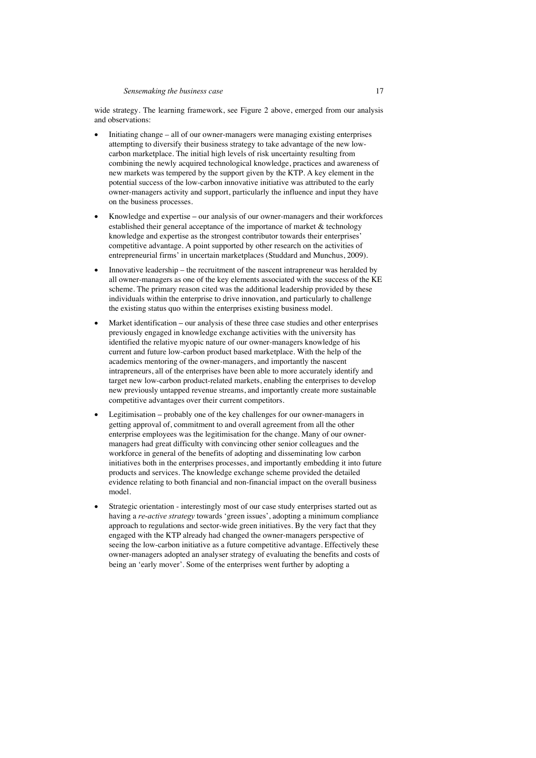wide strategy. The learning framework, see Figure 2 above, emerged from our analysis and observations:

- Initiating change all of our owner-managers were managing existing enterprises attempting to diversify their business strategy to take advantage of the new lowcarbon marketplace. The initial high levels of risk uncertainty resulting from combining the newly acquired technological knowledge, practices and awareness of new markets was tempered by the support given by the KTP. A key element in the potential success of the low-carbon innovative initiative was attributed to the early owner-managers activity and support, particularly the influence and input they have on the business processes.
- x Knowledge and expertiseour analysis of our owner-managers and their workforces established their general acceptance of the importance of market & technology knowledge and expertise as the strongest contributor towards their enterprises' competitive advantage. A point supported by other research on the activities of entrepreneurial firms' in uncertain marketplaces (Studdard and Munchus, 2009).
- Innovative leadership the recruitment of the nascent intrapreneur was heralded by all owner-managers as one of the key elements associated with the success of the KE scheme. The primary reason cited was the additional leadership provided by these individuals within the enterprise to drive innovation, and particularly to challenge the existing status quo within the enterprises existing business model.
- x Market identification **–** our analysis of these three case studies and other enterprises previously engaged in knowledge exchange activities with the university has identified the relative myopic nature of our owner-managers knowledge of his current and future low-carbon product based marketplace. With the help of the academics mentoring of the owner-managers, and importantly the nascent intrapreneurs, all of the enterprises have been able to more accurately identify and target new low-carbon product-related markets, enabling the enterprises to develop new previously untapped revenue streams, and importantly create more sustainable competitive advantages over their current competitors.
- Legitimisation probably one of the key challenges for our owner-managers in getting approval of, commitment to and overall agreement from all the other enterprise employees was the legitimisation for the change. Many of our ownermanagers had great difficulty with convincing other senior colleagues and the workforce in general of the benefits of adopting and disseminating low carbon initiatives both in the enterprises processes, and importantly embedding it into future products and services. The knowledge exchange scheme provided the detailed evidence relating to both financial and non-financial impact on the overall business model.
- Strategic orientation interestingly most of our case study enterprises started out as having a *re-active strategy* towards 'green issues', adopting a minimum compliance approach to regulations and sector-wide green initiatives. By the very fact that they engaged with the KTP already had changed the owner-managers perspective of seeing the low-carbon initiative as a future competitive advantage. Effectively these owner-managers adopted an analyser strategy of evaluating the benefits and costs of being an 'early mover'. Some of the enterprises went further by adopting a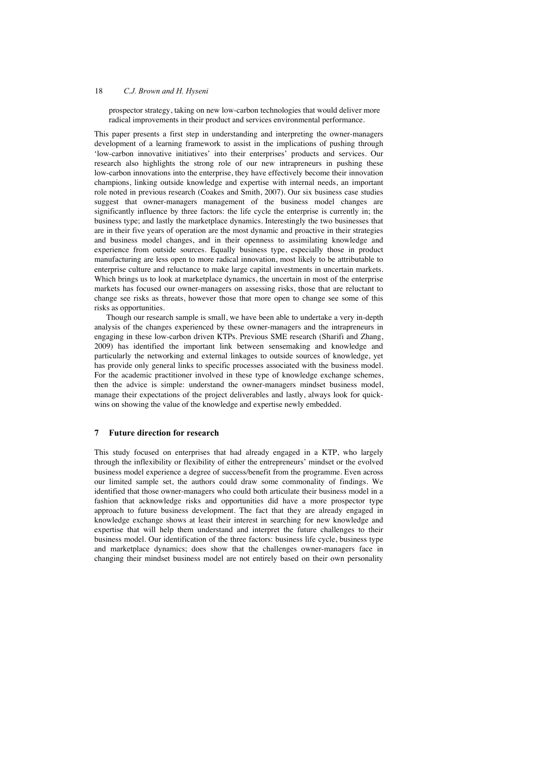prospector strategy, taking on new low-carbon technologies that would deliver more radical improvements in their product and services environmental performance.

This paper presents a first step in understanding and interpreting the owner-managers development of a learning framework to assist in the implications of pushing through 'low-carbon innovative initiatives' into their enterprises' products and services. Our research also highlights the strong role of our new intrapreneurs in pushing these low-carbon innovations into the enterprise, they have effectively become their innovation champions, linking outside knowledge and expertise with internal needs, an important role noted in previous research (Coakes and Smith, 2007). Our six business case studies suggest that owner-managers management of the business model changes are significantly influence by three factors: the life cycle the enterprise is currently in; the business type; and lastly the marketplace dynamics. Interestingly the two businesses that are in their five years of operation are the most dynamic and proactive in their strategies and business model changes, and in their openness to assimilating knowledge and experience from outside sources. Equally business type, especially those in product manufacturing are less open to more radical innovation, most likely to be attributable to enterprise culture and reluctance to make large capital investments in uncertain markets. Which brings us to look at marketplace dynamics, the uncertain in most of the enterprise markets has focused our owner-managers on assessing risks, those that are reluctant to change see risks as threats, however those that more open to change see some of this risks as opportunities.

Though our research sample is small, we have been able to undertake a very in-depth analysis of the changes experienced by these owner-managers and the intrapreneurs in engaging in these low-carbon driven KTPs. Previous SME research (Sharifi and Zhang, 2009) has identified the important link between sensemaking and knowledge and particularly the networking and external linkages to outside sources of knowledge, yet has provide only general links to specific processes associated with the business model. For the academic practitioner involved in these type of knowledge exchange schemes, then the advice is simple: understand the owner-managers mindset business model, manage their expectations of the project deliverables and lastly, always look for quickwins on showing the value of the knowledge and expertise newly embedded.

## **7 Future direction for research**

This study focused on enterprises that had already engaged in a KTP, who largely through the inflexibility or flexibility of either the entrepreneurs' mindset or the evolved business model experience a degree of success/benefit from the programme. Even across our limited sample set, the authors could draw some commonality of findings. We identified that those owner-managers who could both articulate their business model in a fashion that acknowledge risks and opportunities did have a more prospector type approach to future business development. The fact that they are already engaged in knowledge exchange shows at least their interest in searching for new knowledge and expertise that will help them understand and interpret the future challenges to their business model. Our identification of the three factors: business life cycle, business type and marketplace dynamics; does show that the challenges owner-managers face in changing their mindset business model are not entirely based on their own personality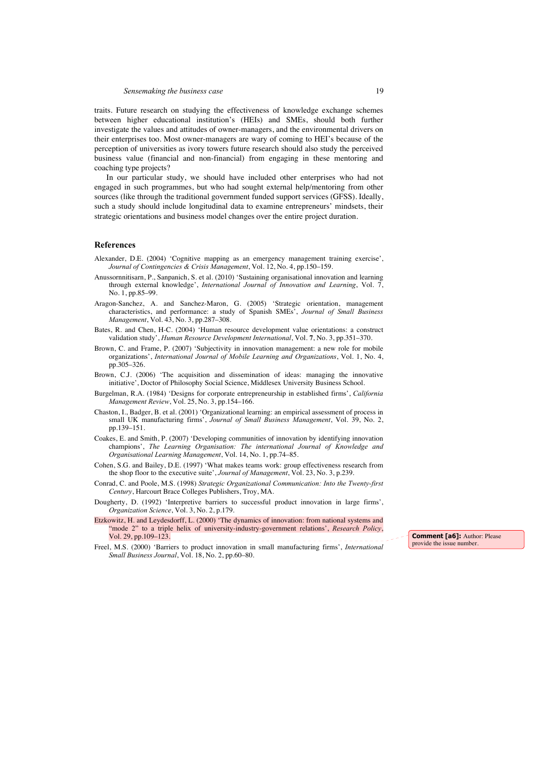traits. Future research on studying the effectiveness of knowledge exchange schemes between higher educational institution's (HEIs) and SMEs, should both further investigate the values and attitudes of owner-managers, and the environmental drivers on their enterprises too. Most owner-managers are wary of coming to HEI's because of the perception of universities as ivory towers future research should also study the perceived business value (financial and non-financial) from engaging in these mentoring and coaching type projects?

In our particular study, we should have included other enterprises who had not engaged in such programmes, but who had sought external help/mentoring from other sources (like through the traditional government funded support services (GFSS). Ideally, such a study should include longitudinal data to examine entrepreneurs' mindsets, their strategic orientations and business model changes over the entire project duration.

### **References**

- Alexander, D.E. (2004) 'Cognitive mapping as an emergency management training exercise', *Journal of Contingencies & Crisis Management*, Vol. 12, No. 4, pp.150–159.
- Anussornnitisarn, P., Sanpanich, S. et al. (2010) 'Sustaining organisational innovation and learning through external knowledge', *International Journal of Innovation and Learning*, Vol. 7, No. 1, pp.85–99.
- Aragon-Sanchez, A. and Sanchez-Maron, G. (2005) 'Strategic orientation, management characteristics, and performance: a study of Spanish SMEs', *Journal of Small Business Management*, Vol. 43, No. 3, pp.287–308.
- Bates, R. and Chen, H-C. (2004) 'Human resource development value orientations: a construct validation study', *Human Resource Development International*, Vol. **7**, No. 3, pp.351–370.
- Brown, C. and Frame, P. (2007) 'Subjectivity in innovation management: a new role for mobile organizations', *International Journal of Mobile Learning and Organizations*, Vol. 1, No. 4, pp.305–326.
- Brown, C.J. (2006) 'The acquisition and dissemination of ideas: managing the innovative initiative', Doctor of Philosophy Social Science, Middlesex University Business School.
- Burgelman, R.A. (1984) 'Designs for corporate entrepreneurship in established firms', *California Management Review*, Vol. 25, No. 3, pp.154–166.
- Chaston, I., Badger, B. et al. (2001) 'Organizational learning: an empirical assessment of process in small UK manufacturing firms', *Journal of Small Business Management*, Vol. 39, No. 2, pp.139–151.
- Coakes, E. and Smith, P. (2007) 'Developing communities of innovation by identifying innovation champions', *The Learning Organisation: The international Journal of Knowledge and Organisational Learning Management*, Vol. 14, No. 1, pp.74–85.
- Cohen, S.G. and Bailey, D.E. (1997) 'What makes teams work: group effectiveness research from the shop floor to the executive suite', *Journal of Management*, Vol. 23, No. 3, p.239.
- Conrad, C. and Poole, M.S. (1998) *Strategic Organizational Communication: Into the Twenty-first Century*, Harcourt Brace Colleges Publishers, Troy, MA.
- Dougherty, D. (1992) 'Interpretive barriers to successful product innovation in large firms', *Organization Science*, Vol. 3, No. 2, p.179.
- Etzkowitz, H. and Leydesdorff, L. (2000) 'The dynamics of innovation: from national systems and "mode 2" to a triple helix of university-industry-government relations', *Research Policy*, Vol. 29, pp.109–123.
- Freel, M.S. (2000) 'Barriers to product innovation in small manufacturing firms', *International Small Business Journal*, Vol. 18, No. 2, pp.60–80.

**Comment [a6]:** Author: Please provide the issue number.